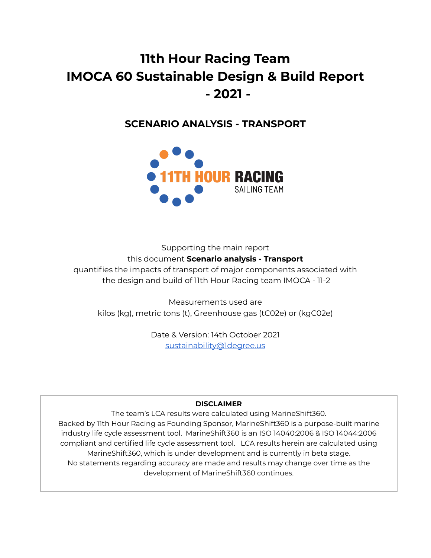# **11th Hour Racing Team IMOCA 60 Sustainable Design & Build Report - 2021 -**

# **SCENARIO ANALYSIS - TRANSPORT**



Supporting the main report this document **Scenario analysis - Transport** quantifies the impacts of transport of major components associated with the design and build of 11th Hour Racing team IMOCA - 11-2

Measurements used are kilos (kg), metric tons (t), Greenhouse gas (tC02e) or (kgC02e)

> Date & Version: 14th October 2021 [sustainability@1degree.us](mailto:sustainability@1degree.us)

# **DISCLAIMER**

The team's LCA results were calculated using MarineShift360. Backed by 11th Hour Racing as Founding Sponsor, MarineShift360 is a purpose-built marine industry life cycle assessment tool. MarineShift360 is an ISO 14040:2006 & ISO 14044:2006 compliant and certified life cycle assessment tool. LCA results herein are calculated using MarineShift360, which is under development and is currently in beta stage. No statements regarding accuracy are made and results may change over time as the development of MarineShift360 continues.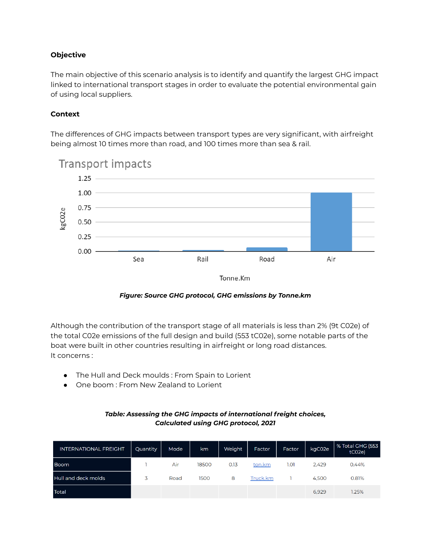# **Objective**

The main objective of this scenario analysis is to identify and quantify the largest GHG impact linked to international transport stages in order to evaluate the potential environmental gain of using local suppliers.

#### **Context**

The differences of GHG impacts between transport types are very significant, with airfreight being almost 10 times more than road, and 100 times more than sea & rail.



*Figure: Source GHG protocol, GHG emissions by Tonne.km*

Although the contribution of the transport stage of all materials is less than 2% (9t C02e) of the total C02e emissions of the full design and build (553 tC02e), some notable parts of the boat were built in other countries resulting in airfreight or long road distances. It concerns :

- The Hull and Deck moulds : From Spain to Lorient
- One boom : From New Zealand to Lorient

#### *Table: Assessing the GHG impacts of international freight choices, Calculated using GHG protocol, 2021*

| <b>INTERNATIONAL FREIGHT</b> | Quantity | Mode | km    | Weight | <b>Factor</b> | Factor | kgC02e | % Total GHG (553<br>tCO <sub>2</sub> e |
|------------------------------|----------|------|-------|--------|---------------|--------|--------|----------------------------------------|
| <b>Boom</b>                  |          | Air  | 18500 | 0.13   | ton.km        | 1.01   | 2.429  | 0.44%                                  |
| Hull and deck molds          | 3        | Road | 1500  | 8      | Truck.km      |        | 4.500  | 0.81%                                  |
| <b>Total</b>                 |          |      |       |        |               |        | 6.929  | 1.25%                                  |